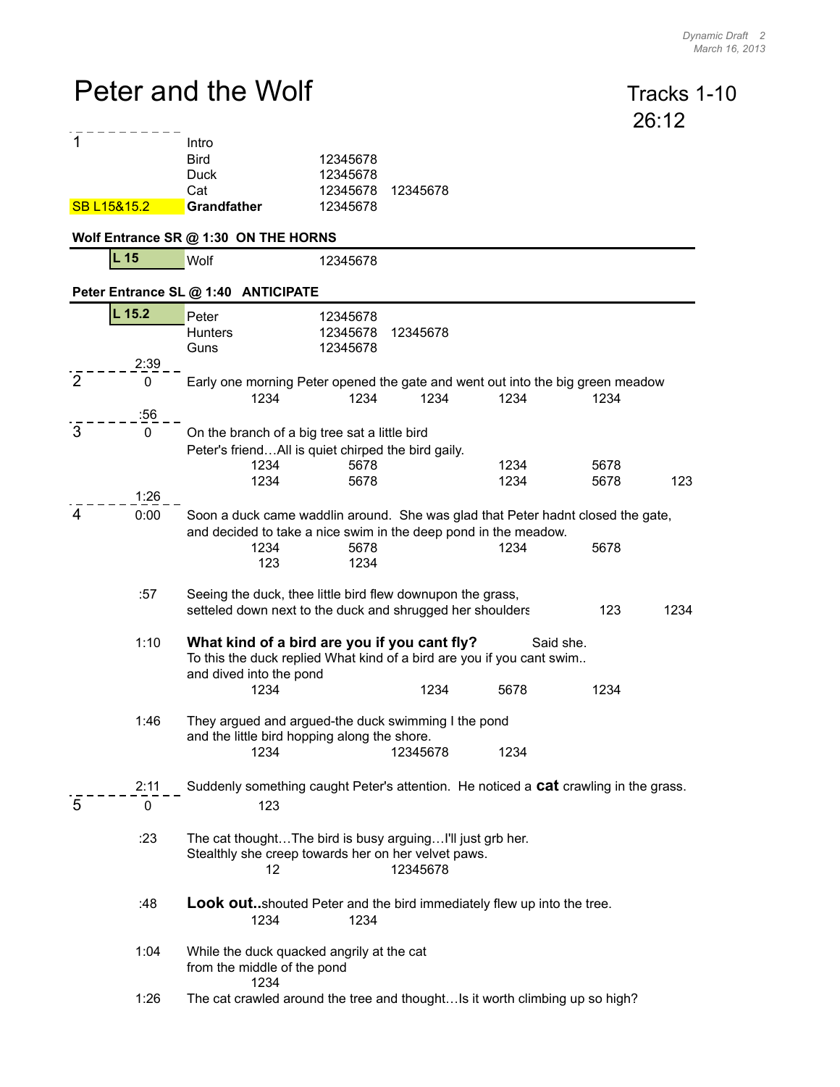## Peter and the Wolf Tracks 1-10

 $\frac{1}{5}$  - -

|                |                    |                                                                                                                                                                   |                                              |          |              |              | 26:12 |  |
|----------------|--------------------|-------------------------------------------------------------------------------------------------------------------------------------------------------------------|----------------------------------------------|----------|--------------|--------------|-------|--|
| 1              | SB L15&15.2        | Intro<br><b>Bird</b><br><b>Duck</b><br>Cat<br><b>Grandfather</b>                                                                                                  | 12345678<br>12345678<br>12345678<br>12345678 | 12345678 |              |              |       |  |
|                |                    | Wolf Entrance SR @ 1:30 ON THE HORNS                                                                                                                              |                                              |          |              |              |       |  |
|                | L <sub>15</sub>    | Wolf                                                                                                                                                              | 12345678                                     |          |              |              |       |  |
|                |                    | Peter Entrance SL @ 1:40 ANTICIPATE                                                                                                                               |                                              |          |              |              |       |  |
|                | $L$ 15.2<br>2:39   | Peter<br><b>Hunters</b><br>Guns                                                                                                                                   | 12345678<br>12345678<br>12345678             | 12345678 |              |              |       |  |
| 2              | $\mathbf 0$        | Early one morning Peter opened the gate and went out into the big green meadow<br>1234                                                                            | 1234                                         | 1234     | 1234         | 1234         |       |  |
| $\overline{3}$ | :56<br>$\mathbf 0$ | On the branch of a big tree sat a little bird<br>Peter's friendAll is quiet chirped the bird gaily.<br>1234<br>1234                                               | 5678<br>5678                                 |          | 1234<br>1234 | 5678<br>5678 | 123   |  |
|                | 1:26               |                                                                                                                                                                   |                                              |          |              |              |       |  |
| $\overline{4}$ | 0:00               | Soon a duck came waddlin around. She was glad that Peter hadnt closed the gate,<br>and decided to take a nice swim in the deep pond in the meadow.<br>1234<br>123 | 5678<br>1234                                 |          | 1234         | 5678         |       |  |
|                | :57                | Seeing the duck, thee little bird flew downupon the grass,<br>setteled down next to the duck and shrugged her shoulders<br>123<br>1234                            |                                              |          |              |              |       |  |
|                | 1:10               | What kind of a bird are you if you cant fly?<br>Said she.<br>To this the duck replied What kind of a bird are you if you cant swim<br>and dived into the pond     |                                              |          |              |              |       |  |
|                |                    | 1234                                                                                                                                                              |                                              | 1234     | 5678         | 1234         |       |  |
|                | 1:46               | They argued and argued-the duck swimming I the pond<br>and the little bird hopping along the shore.                                                               |                                              |          |              |              |       |  |
|                |                    | 1234                                                                                                                                                              |                                              | 12345678 | 1234         |              |       |  |
| 5              | 2:11<br>0          | Suddenly something caught Peter's attention. He noticed a <b>cat</b> crawling in the grass.<br>123                                                                |                                              |          |              |              |       |  |
|                | :23                | The cat thoughtThe bird is busy arguingI'll just grb her.<br>Stealthly she creep towards her on her velvet paws.<br>12<br>12345678                                |                                              |          |              |              |       |  |
|                | :48                | <b>Look out</b> shouted Peter and the bird immediately flew up into the tree.<br>1234<br>1234                                                                     |                                              |          |              |              |       |  |
|                | 1:04               | While the duck quacked angrily at the cat                                                                                                                         |                                              |          |              |              |       |  |

- from the middle of the pond 1234
- 1:26 The cat crawled around the tree and thought…Is it worth climbing up so high?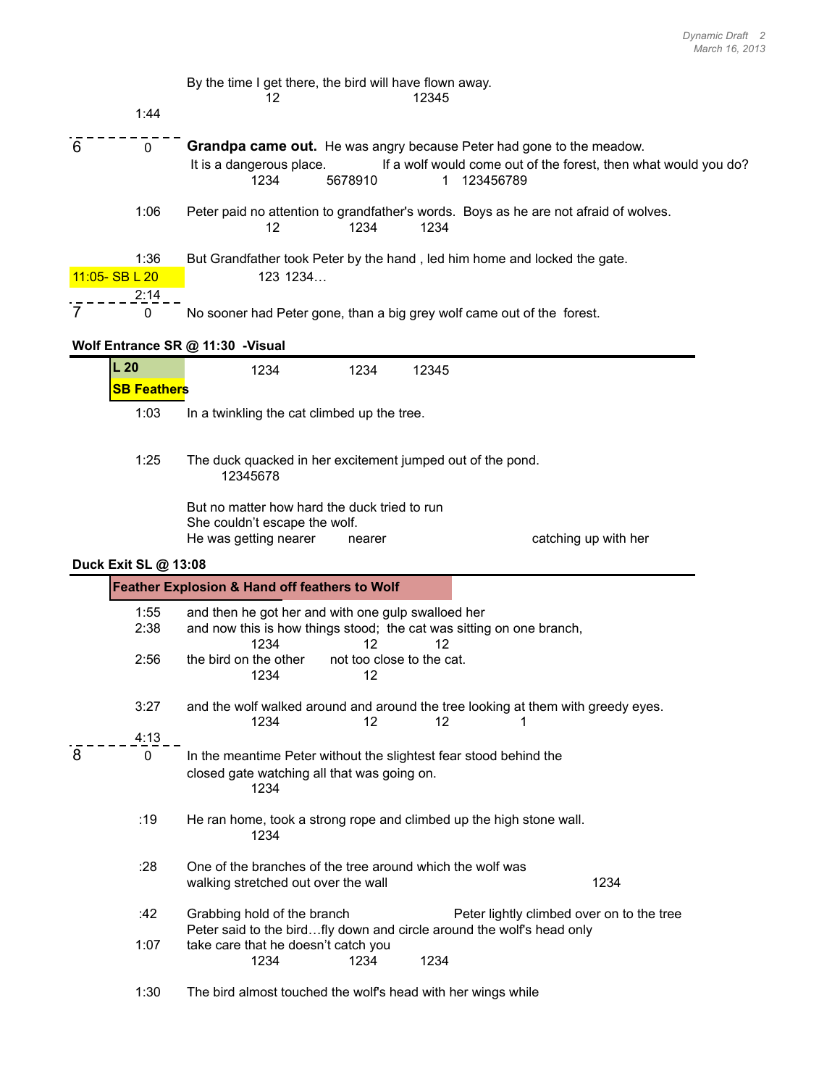|   | 1:44                           | By the time I get there, the bird will have flown away.<br>12<br>12345                                                                                                                                           |
|---|--------------------------------|------------------------------------------------------------------------------------------------------------------------------------------------------------------------------------------------------------------|
| 6 | $\mathbf{0}$                   | <b>Grandpa came out.</b> He was angry because Peter had gone to the meadow.<br>It is a dangerous place.<br>If a wolf would come out of the forest, then what would you do?<br>5678910<br>1234<br>123456789<br>1. |
|   | 1:06                           | Peter paid no attention to grandfather's words. Boys as he are not afraid of wolves.<br>1234<br>1234<br>12                                                                                                       |
|   | 1:36<br>11:05-SBL20<br>2:14    | But Grandfather took Peter by the hand, led him home and locked the gate.<br>123 1234                                                                                                                            |
|   | 0                              | No sooner had Peter gone, than a big grey wolf came out of the forest.                                                                                                                                           |
|   |                                | Wolf Entrance SR @ 11:30 -Visual                                                                                                                                                                                 |
|   | $L_{20}$<br><b>SB Feathers</b> | 1234<br>1234<br>12345                                                                                                                                                                                            |
|   | 1:03                           | In a twinkling the cat climbed up the tree.                                                                                                                                                                      |
|   | 1:25                           | The duck quacked in her excitement jumped out of the pond.<br>12345678                                                                                                                                           |
|   |                                | But no matter how hard the duck tried to run<br>She couldn't escape the wolf.<br>He was getting nearer<br>catching up with her<br>nearer                                                                         |
|   | Duck Exit SL @ 13:08           |                                                                                                                                                                                                                  |
|   |                                | Feather Explosion & Hand off feathers to Wolf                                                                                                                                                                    |
|   | 1:55<br>2:38                   | and then he got her and with one gulp swalloed her<br>and now this is how things stood; the cat was sitting on one branch,<br>1234<br>12<br>12                                                                   |
|   | 2:56                           | the bird on the other<br>not too close to the cat.<br>1234<br>12                                                                                                                                                 |
|   | 3:27                           | and the wolf walked around and around the tree looking at them with greedy eyes.<br>1234<br>$12 \overline{ }$<br>12<br>1                                                                                         |
|   | 4:13                           |                                                                                                                                                                                                                  |
| 8 | $\mathbf 0$                    | In the meantime Peter without the slightest fear stood behind the<br>closed gate watching all that was going on.<br>1234                                                                                         |
|   | :19                            | He ran home, took a strong rope and climbed up the high stone wall.<br>1234                                                                                                                                      |
|   | :28                            | One of the branches of the tree around which the wolf was<br>1234<br>walking stretched out over the wall                                                                                                         |
|   | :42                            | Grabbing hold of the branch<br>Peter lightly climbed over on to the tree                                                                                                                                         |
|   | 1:07                           | Peter said to the birdfly down and circle around the wolf's head only<br>take care that he doesn't catch you<br>1234<br>1234<br>1234                                                                             |
|   | 1:30                           | The bird almost touched the wolf's head with her wings while                                                                                                                                                     |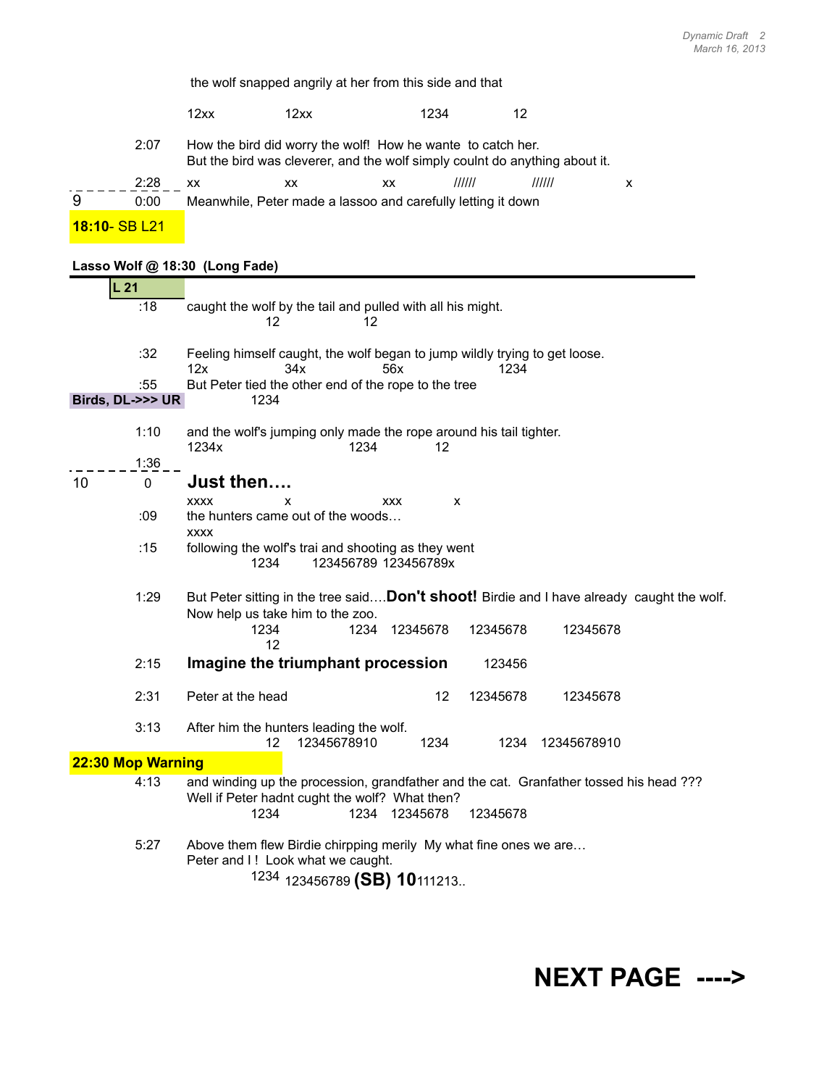the wolf snapped angrily at her from this side and that 12xx 12xx 1234 12 2:07 How the bird did worry the wolf! How he wante to catch her. But the bird was cleverer, and the wolf simply coulnt do anything about it. 2:28 xx xx xx ////// ////// x 9 0:00 Meanwhile, Peter made a lassoo and carefully letting it down **18:10**- SB L21

## **Lasso Wolf @ 18:30 (Long Fade)**

|    |                   | $10100$ $(1011)$ $1000$                                                                                                                                                          |  |  |  |  |  |  |
|----|-------------------|----------------------------------------------------------------------------------------------------------------------------------------------------------------------------------|--|--|--|--|--|--|
|    | L21               |                                                                                                                                                                                  |  |  |  |  |  |  |
|    | :18               | caught the wolf by the tail and pulled with all his might.                                                                                                                       |  |  |  |  |  |  |
|    |                   | 12<br>12                                                                                                                                                                         |  |  |  |  |  |  |
|    | :32               | Feeling himself caught, the wolf began to jump wildly trying to get loose.<br>12x<br>34x<br>56x<br>1234                                                                          |  |  |  |  |  |  |
|    | :55               | But Peter tied the other end of the rope to the tree                                                                                                                             |  |  |  |  |  |  |
|    | Birds, DL->>> UR  | 1234                                                                                                                                                                             |  |  |  |  |  |  |
|    | 1:10              | and the wolf's jumping only made the rope around his tail tighter.<br>1234x<br>1234<br>12                                                                                        |  |  |  |  |  |  |
|    | 1:36              |                                                                                                                                                                                  |  |  |  |  |  |  |
| 10 | $\mathbf 0$       | Just then                                                                                                                                                                        |  |  |  |  |  |  |
|    |                   | <b>XXXX</b><br><b>XXX</b><br>x<br>x                                                                                                                                              |  |  |  |  |  |  |
|    | :09               | the hunters came out of the woods<br><b>XXXX</b>                                                                                                                                 |  |  |  |  |  |  |
|    | :15               | following the wolf's trai and shooting as they went<br>123456789 123456789x<br>1234                                                                                              |  |  |  |  |  |  |
|    | 1:29              | But Peter sitting in the tree saidDon't shoot! Birdie and I have already caught the wolf.<br>Now help us take him to the zoo.                                                    |  |  |  |  |  |  |
|    |                   | 1234<br>1234<br>12345678<br>12345678<br>12345678<br>12                                                                                                                           |  |  |  |  |  |  |
|    | 2:15              | Imagine the triumphant procession<br>123456                                                                                                                                      |  |  |  |  |  |  |
|    | 2:31              | 12<br>Peter at the head<br>12345678<br>12345678                                                                                                                                  |  |  |  |  |  |  |
|    | 3:13              | After him the hunters leading the wolf.<br>12345678910<br>1234<br>1234<br>12345678910<br>12                                                                                      |  |  |  |  |  |  |
|    | 22:30 Mop Warning |                                                                                                                                                                                  |  |  |  |  |  |  |
|    | 4:13              | and winding up the procession, grandfather and the cat. Granfather tossed his head ???<br>Well if Peter hadnt cught the wolf? What then?<br>1234<br>1234<br>12345678<br>12345678 |  |  |  |  |  |  |
|    | 5:27              | Above them flew Birdie chirpping merily My what fine ones we are<br>Peter and I! Look what we caught.<br><sup>1234</sup> 123456789 (SB) 10111213                                 |  |  |  |  |  |  |